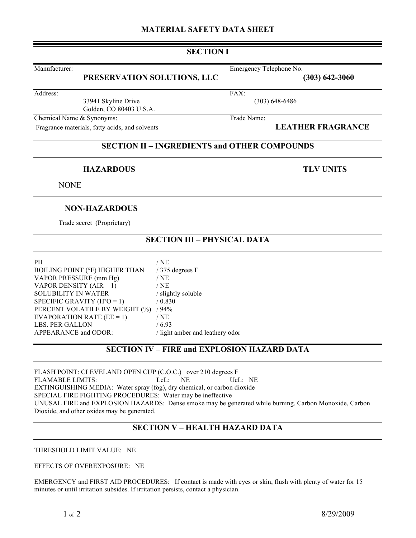### **MATERIAL SAFETY DATA SHEET**

### **SECTION I**

# **PRESERVATION SOLUTIONS, LLC (303) 642-3060**

Address: FAX:

33941 Skyline Drive (303) 648-6486 Golden, CO 80403 U.S.A.

Chemical Name & Synonyms: Trade Name:

Fragrance materials, fatty acids, and solvents **LEATHER FRAGRANCE** 

### **SECTION II – INGREDIENTS and OTHER COMPOUNDS**

#### **HAZARDOUS TLV UNITS**

**NONE** 

#### **NON-HAZARDOUS**

Trade secret (Proprietary)

## **SECTION III – PHYSICAL DATA**

PH  $/NE$ BOILING POINT (°F) HIGHER THAN / 375 degrees F VAPOR PRESSURE (mm Hg) / NE VAPOR DENSITY  $(AIR = 1)$  / NE SOLUBILITY IN WATER / slightly soluble SPECIFIC GRAVITY  $(H^2O = 1)$  / 0.830 PERCENT VOLATILE BY WEIGHT (%) / 94% EVAPORATION RATE  $(EE = 1)$  / NE LBS. PER GALLON / 6.93<br>APPEARANCE and ODOR: / light / light amber and leathery odor

# **SECTION IV – FIRE and EXPLOSION HAZARD DATA**

FLASH POINT: CLEVELAND OPEN CUP (C.O.C.) over 210 degrees F FLAMABLE LIMITS: LeL: NE UeL: NE EXTINGUISHING MEDIA: Water spray (fog), dry chemical, or carbon dioxide SPECIAL FIRE FIGHTING PROCEDURES: Water may be ineffective UNUSAL FIRE and EXPLOSION HAZARDS: Dense smoke may be generated while burning. Carbon Monoxide, Carbon Dioxide, and other oxides may be generated.

# **SECTION V – HEALTH HAZARD DATA**

THRESHOLD LIMIT VALUE: NE

EFFECTS OF OVEREXPOSURE: NE

EMERGENCY and FIRST AID PROCEDURES: If contact is made with eyes or skin, flush with plenty of water for 15 minutes or until irritation subsides. If irritation persists, contact a physician.

Manufacturer: Emergency Telephone No.